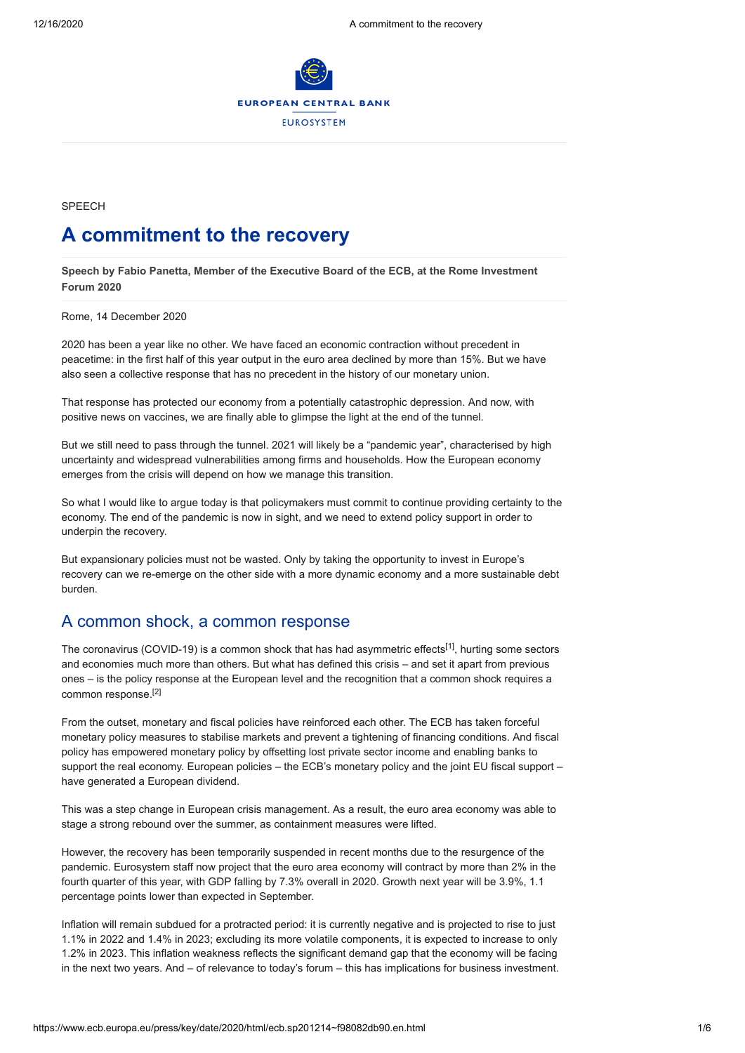

**SPFFCH** 

# **A commitment to the recovery**

**Speech by Fabio Panetta, Member of the Executive Board of the ECB, at the Rome Investment Forum 2020**

Rome, 14 December 2020

2020 has been a year like no other. We have faced an economic contraction without precedent in peacetime: in the first half of this year output in the euro area declined by more than 15%. But we have also seen a collective response that has no precedent in the history of our monetary union.

That response has protected our economy from a potentially catastrophic depression. And now, with positive news on vaccines, we are finally able to glimpse the light at the end of the tunnel.

But we still need to pass through the tunnel. 2021 will likely be a "pandemic year", characterised by high uncertainty and widespread vulnerabilities among firms and households. How the European economy emerges from the crisis will depend on how we manage this transition.

So what I would like to argue today is that policymakers must commit to continue providing certainty to the economy. The end of the pandemic is now in sight, and we need to extend policy support in order to underpin the recovery.

But expansionary policies must not be wasted. Only by taking the opportunity to invest in Europe's recovery can we re-emerge on the other side with a more dynamic economy and a more sustainable debt burden.

## A common shock, a common response

The coronavirus (COVID-19) is a common shock that has had asymmetric effects<sup>[1]</sup>, hurting some sectors and economies much more than others. But what has defined this crisis – and set it apart from previous ones – is the policy response at the European level and the recognition that a common shock requires a common response.[2]

From the outset, monetary and fiscal policies have reinforced each other. The ECB has taken forceful monetary policy measures to stabilise markets and prevent a tightening of financing conditions. And fiscal policy has empowered monetary policy by offsetting lost private sector income and enabling banks to support the real economy. European policies – the ECB's monetary policy and the joint EU fiscal support – have generated a European dividend.

This was a step change in European crisis management. As a result, the euro area economy was able to stage a strong rebound over the summer, as containment measures were lifted.

However, the recovery has been temporarily suspended in recent months due to the resurgence of the pandemic. Eurosystem staff now project that the euro area economy will contract by more than 2% in the fourth quarter of this year, with GDP falling by 7.3% overall in 2020. Growth next year will be 3.9%, 1.1 percentage points lower than expected in September.

Inflation will remain subdued for a protracted period: it is currently negative and is projected to rise to just 1.1% in 2022 and 1.4% in 2023; excluding its more volatile components, it is expected to increase to only 1.2% in 2023. This inflation weakness reflects the significant demand gap that the economy will be facing in the next two years. And – of relevance to today's forum – this has implications for business investment.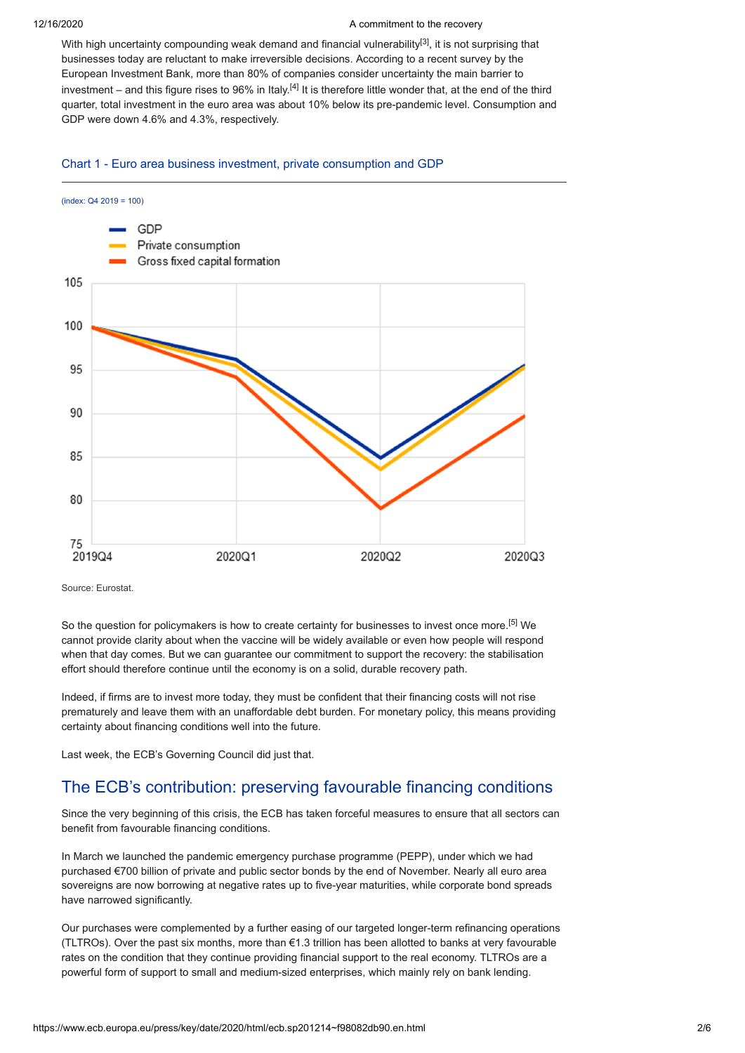### 12/16/2020 A commitment to the recovery

With high uncertainty compounding weak demand and financial vulnerability<sup>[3]</sup>, it is not surprising that businesses today are reluctant to make irreversible decisions. According to a recent survey by the European Investment Bank, more than 80% of companies consider uncertainty the main barrier to investment – and this figure rises to 96% in Italy. $^{[4]}$  It is therefore little wonder that, at the end of the third quarter, total investment in the euro area was about 10% below its pre-pandemic level. Consumption and GDP were down 4.6% and 4.3%, respectively.

### Chart 1 - Euro area business investment, private consumption and GDP



Source: Eurostat.

So the question for policymakers is how to create certainty for businesses to invest once more.<sup>[5]</sup> We cannot provide clarity about when the vaccine will be widely available or even how people will respond when that day comes. But we can guarantee our commitment to support the recovery: the stabilisation effort should therefore continue until the economy is on a solid, durable recovery path.

Indeed, if firms are to invest more today, they must be confident that their financing costs will not rise prematurely and leave them with an unaffordable debt burden. For monetary policy, this means providing certainty about financing conditions well into the future.

Last week, the ECB's Governing Council did just that.

## The ECB's contribution: preserving favourable financing conditions

Since the very beginning of this crisis, the ECB has taken forceful measures to ensure that all sectors can benefit from favourable financing conditions.

In March we launched the pandemic emergency purchase programme (PEPP), under which we had purchased €700 billion of private and public sector bonds by the end of November. Nearly all euro area sovereigns are now borrowing at negative rates up to five-year maturities, while corporate bond spreads have narrowed significantly.

Our purchases were complemented by a further easing of our targeted longer-term refinancing operations (TLTROs). Over the past six months, more than €1.3 trillion has been allotted to banks at very favourable rates on the condition that they continue providing financial support to the real economy. TLTROs are a powerful form of support to small and medium-sized enterprises, which mainly rely on bank lending.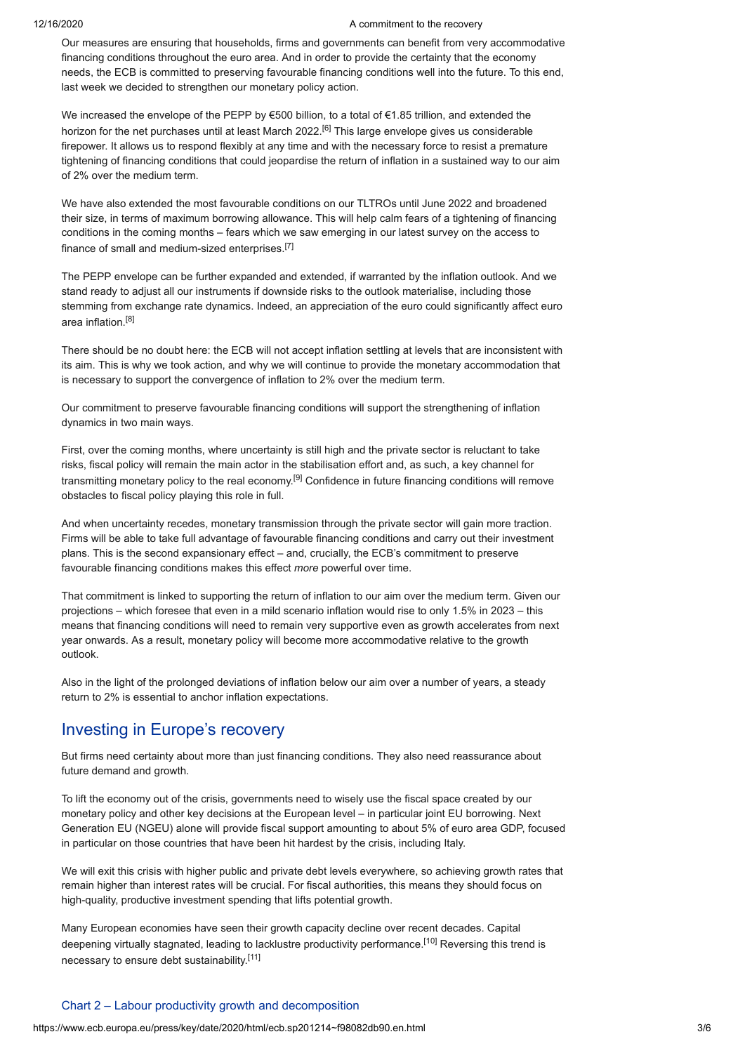### 12/16/2020 A commitment to the recovery

Our measures are ensuring that households, firms and governments can benefit from very accommodative financing conditions throughout the euro area. And in order to provide the certainty that the economy needs, the ECB is committed to preserving favourable financing conditions well into the future. To this end, last week we decided to strengthen our monetary policy action.

We increased the envelope of the PEPP by €500 billion, to a total of €1.85 trillion, and extended the horizon for the net purchases until at least March 2022.<sup>[6]</sup> This large envelope gives us considerable firepower. It allows us to respond flexibly at any time and with the necessary force to resist a premature tightening of financing conditions that could jeopardise the return of inflation in a sustained way to our aim of 2% over the medium term.

We have also extended the most favourable conditions on our TLTROs until June 2022 and broadened their size, in terms of maximum borrowing allowance. This will help calm fears of a tightening of financing conditions in the coming months – fears which we saw emerging in our latest survey on the access to finance of small and medium-sized enterprises.<sup>[7]</sup>

The PEPP envelope can be further expanded and extended, if warranted by the inflation outlook. And we stand ready to adjust all our instruments if downside risks to the outlook materialise, including those stemming from exchange rate dynamics. Indeed, an appreciation of the euro could significantly affect euro area inflation.[8]

There should be no doubt here: the ECB will not accept inflation settling at levels that are inconsistent with its aim. This is why we took action, and why we will continue to provide the monetary accommodation that is necessary to support the convergence of inflation to 2% over the medium term.

Our commitment to preserve favourable financing conditions will support the strengthening of inflation dynamics in two main ways.

First, over the coming months, where uncertainty is still high and the private sector is reluctant to take risks, fiscal policy will remain the main actor in the stabilisation effort and, as such, a key channel for transmitting monetary policy to the real economy.<sup>[9]</sup> Confidence in future financing conditions will remove obstacles to fiscal policy playing this role in full.

And when uncertainty recedes, monetary transmission through the private sector will gain more traction. Firms will be able to take full advantage of favourable financing conditions and carry out their investment plans. This is the second expansionary effect – and, crucially, the ECB's commitment to preserve favourable financing conditions makes this effect *more* powerful over time.

That commitment is linked to supporting the return of inflation to our aim over the medium term. Given our projections – which foresee that even in a mild scenario inflation would rise to only 1.5% in 2023 – this means that financing conditions will need to remain very supportive even as growth accelerates from next year onwards. As a result, monetary policy will become more accommodative relative to the growth outlook.

Also in the light of the prolonged deviations of inflation below our aim over a number of years, a steady return to 2% is essential to anchor inflation expectations.

## Investing in Europe's recovery

But firms need certainty about more than just financing conditions. They also need reassurance about future demand and growth.

To lift the economy out of the crisis, governments need to wisely use the fiscal space created by our monetary policy and other key decisions at the European level – in particular joint EU borrowing. Next Generation EU (NGEU) alone will provide fiscal support amounting to about 5% of euro area GDP, focused in particular on those countries that have been hit hardest by the crisis, including Italy.

We will exit this crisis with higher public and private debt levels everywhere, so achieving growth rates that remain higher than interest rates will be crucial. For fiscal authorities, this means they should focus on high-quality, productive investment spending that lifts potential growth.

Many European economies have seen their growth capacity decline over recent decades. Capital deepening virtually stagnated, leading to lacklustre productivity performance.<sup>[10]</sup> Reversing this trend is necessary to ensure debt sustainability.<sup>[11]</sup>

## Chart 2 – Labour productivity growth and decomposition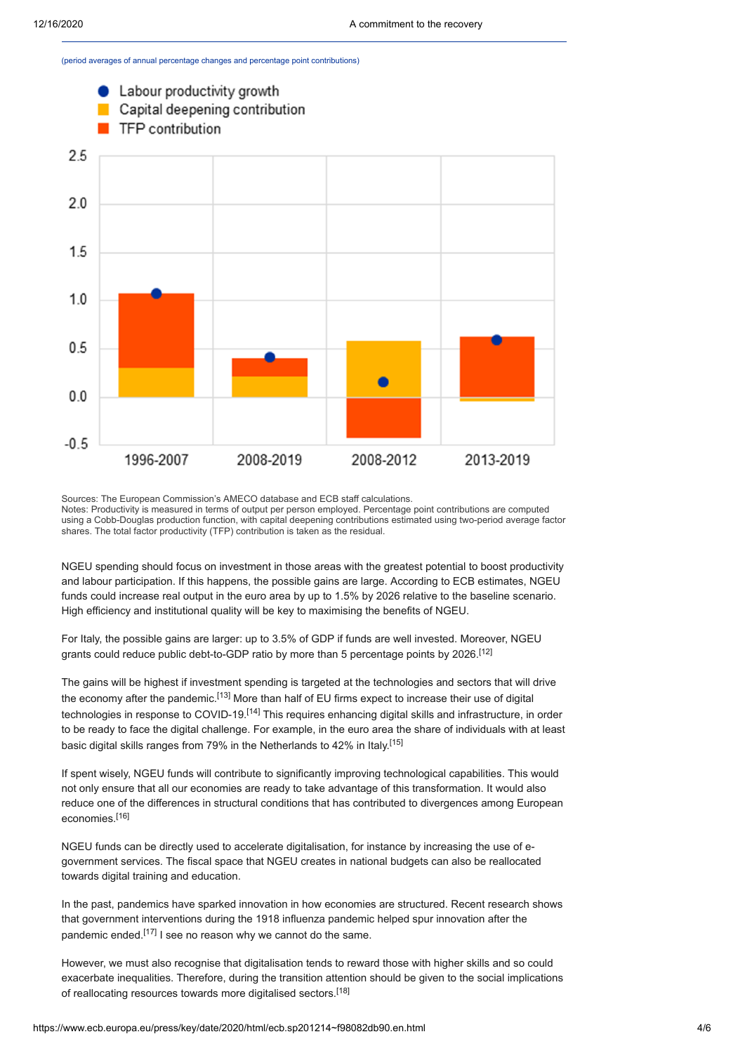(period averages of annual percentage changes and percentage point contributions)



Sources: The European Commission's AMECO database and ECB staff calculations. Notes: Productivity is measured in terms of output per person employed. Percentage point contributions are computed using a Cobb-Douglas production function, with capital deepening contributions estimated using two-period average factor shares. The total factor productivity (TFP) contribution is taken as the residual.

NGEU spending should focus on investment in those areas with the greatest potential to boost productivity and labour participation. If this happens, the possible gains are large. According to ECB estimates, NGEU funds could increase real output in the euro area by up to 1.5% by 2026 relative to the baseline scenario. High efficiency and institutional quality will be key to maximising the benefits of NGEU.

For Italy, the possible gains are larger: up to 3.5% of GDP if funds are well invested. Moreover, NGEU grants could reduce public debt-to-GDP ratio by more than 5 percentage points by 2026.<sup>[12]</sup>

The gains will be highest if investment spending is targeted at the technologies and sectors that will drive the economy after the pandemic.[13] More than half of EU firms expect to increase their use of digital technologies in response to COVID-19.[14] This requires enhancing digital skills and infrastructure, in order to be ready to face the digital challenge. For example, in the euro area the share of individuals with at least basic digital skills ranges from 79% in the Netherlands to 42% in Italy.<sup>[15]</sup>

If spent wisely, NGEU funds will contribute to significantly improving technological capabilities. This would not only ensure that all our economies are ready to take advantage of this transformation. It would also reduce one of the differences in structural conditions that has contributed to divergences among European economies.[16]

NGEU funds can be directly used to accelerate digitalisation, for instance by increasing the use of egovernment services. The fiscal space that NGEU creates in national budgets can also be reallocated towards digital training and education.

In the past, pandemics have sparked innovation in how economies are structured. Recent research shows that government interventions during the 1918 influenza pandemic helped spur innovation after the pandemic ended.<sup>[17]</sup> I see no reason why we cannot do the same.

However, we must also recognise that digitalisation tends to reward those with higher skills and so could exacerbate inequalities. Therefore, during the transition attention should be given to the social implications of reallocating resources towards more digitalised sectors.[18]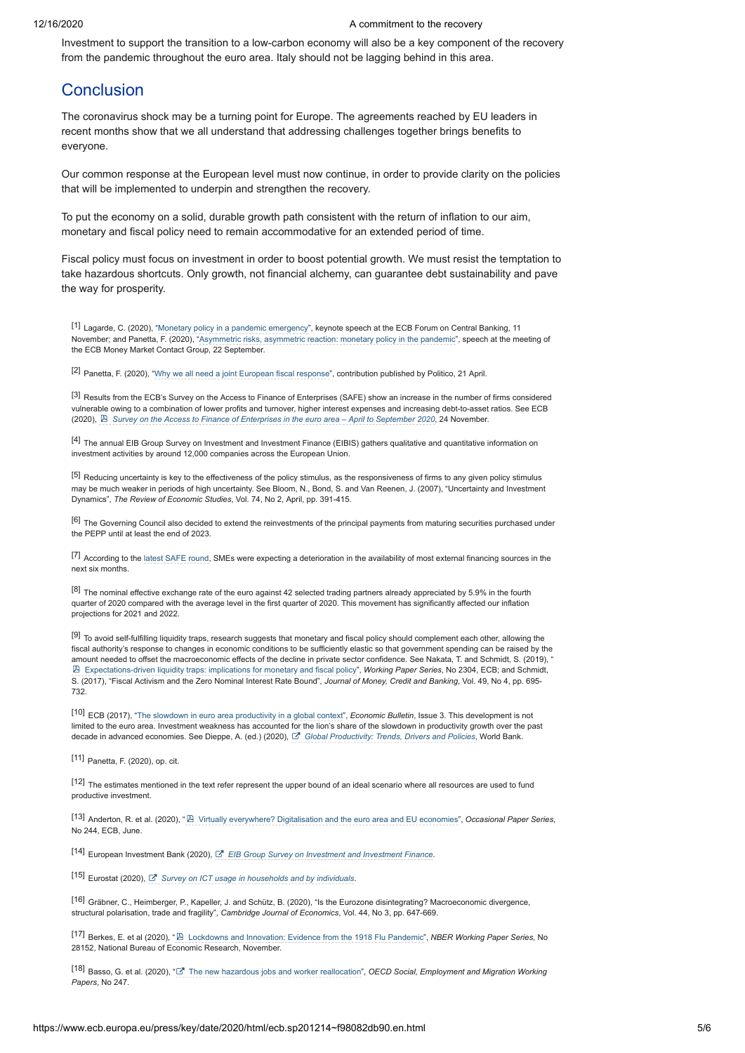Investment to support the transition to a low-carbon economy will also be a key component of the recovery from the pandemic throughout the euro area. Italy should not be lagging behind in this area.

## **Conclusion**

The coronavirus shock may be a turning point for Europe. The agreements reached by EU leaders in recent months show that we all understand that addressing challenges together brings benefits to everyone.

Our common response at the European level must now continue, in order to provide clarity on the policies that will be implemented to underpin and strengthen the recovery.

To put the economy on a solid, durable growth path consistent with the return of inflation to our aim, monetary and fiscal policy need to remain accommodative for an extended period of time.

Fiscal policy must focus on investment in order to boost potential growth. We must resist the temptation to take hazardous shortcuts. Only growth, not financial alchemy, can guarantee debt sustainability and pave the way for prosperity.

[1] Lagarde, C. (2020), "[Monetary policy in a pandemic emergency](https://www.ecb.europa.eu/press/key/date/2020/html/ecb.sp201111~d01e03eb9c.en.html)", keynote speech at the ECB Forum on Central Banking, 11 November; and Panetta, F. (2020), ["Asymmetric risks, asymmetric reaction: monetary policy in the pandemic"](https://www.ecb.europa.eu/press/key/date/2020/html/ecb.sp200922~d158475fe0.en.html), speech at the meeting of the ECB Money Market Contact Group, 22 September.

[2] Panetta, F. (2020), ["Why we all need a joint European fiscal response](https://www.ecb.europa.eu/press/inter/date/2020/html/ecb.in200421~a7f2ec5159.en.html)", contribution published by Politico, 21 April.

[3] Results from the ECB's Survey on the Access to Finance of Enterprises (SAFE) show an increase in the number of firms considered vulnerable owing to a combination of lower profits and turnover, higher interest expenses and increasing debt-to-asset ratios. See ECB (2020), *[Survey on the Access to Finance of Enterprises in the euro area – April to September 2020](https://www.ecb.europa.eu/stats/accesstofinancesofenterprises/pdf/ecb.safe202011~e3858add29.en.pdf)*, 24 November.

[4] The annual EIB Group Survey on Investment and Investment Finance (EIBIS) gathers qualitative and quantitative information on investment activities by around 12,000 companies across the European Union.

<sup>[5]</sup> Reducing uncertainty is key to the effectiveness of the policy stimulus, as the responsiveness of firms to any given policy stimulus may be much weaker in periods of high uncertainty. See Bloom, N., Bond, S. and Van Reenen, J. (2007), "Uncertainty and Investment Dynamics", *The Review of Economic Studies*, Vol. 74, No 2, April, pp. 391-415.

[6] The Governing Council also decided to extend the reinvestments of the principal payments from maturing securities purchased under the PEPP until at least the end of 2023.

[7] According to the [latest SAFE round,](https://www.ecb.europa.eu/stats/ecb_surveys/safe/html/index.en.html) SMEs were expecting a deterioration in the availability of most external financing sources in the next six months.

[8] The nominal effective exchange rate of the euro against 42 selected trading partners already appreciated by 5.9% in the fourth quarter of 2020 compared with the average level in the first quarter of 2020. This movement has significantly affected our inflation projections for 2021 and 2022.

[9] To avoid self-fulfilling liquidity traps, research suggests that monetary and fiscal policy should complement each other, allowing the fiscal authority's response to changes in economic conditions to be sufficiently elastic so that government spending can be raised by the amount needed to offset the macroeconomic effects of the decline in private sector confidence. See Nakata, T. and Schmidt, S. (2019), [Expectations-driven liquidity traps: implications for monetary and fiscal policy"](https://www.ecb.europa.eu/pub/pdf/scpwps/ecb.wp2304~8e4b7bb2de.en.pdf), *Working Paper Series*, No 2304, ECB; and Schmidt, S. (2017), "Fiscal Activism and the Zero Nominal Interest Rate Bound", *Journal of Money, Credit and Banking*, Vol. 49, No 4, pp. 695- 732.

[10] ECB (2017), "[The slowdown in euro area productivity in a global context](https://www.ecb.europa.eu/pub/economic-bulletin/html/eb201703.en.html#IDofArticle1)", *Economic Bulletin*, Issue 3. This development is not limited to the euro area. Investment weakness has accounted for the lion's share of the slowdown in productivity growth over the past decade in advanced economies. See Dieppe, A. (ed.) (2020), *[Global Productivity: Trends, Drivers and Policies](https://openknowledge.worldbank.org/handle/10986/34015)*, World Bank.

[11] Panetta, F. (2020), op. cit.

[12] The estimates mentioned in the text refer represent the upper bound of an ideal scenario where all resources are used to fund productive investment.

[13] Anderton, R. et al. (2020), " [Virtually everywhere? Digitalisation and the euro area and EU economies](https://www.ecb.europa.eu/pub/pdf/scpops/ecb.op244~2acc4f0b4e.en.pdf)", *Occasional Paper Series*, No 244, ECB, June.

[14] European Investment Bank (2020), *[EIB Group Survey on Investment and Investment Finance](https://www.eib.org/en/publications-research/economics/surveys-data/eibis)*.

[15] Eurostat (2020), *[Survey on ICT usage in households and by individuals](https://ec.europa.eu/eurostat/web/digital-economy-and-society/data/comprehensive-database)*.

[16] Gräbner, C., Heimberger, P., Kapeller, J. and Schütz, B. (2020), "Is the Eurozone disintegrating? Macroeconomic divergence, structural polarisation, trade and fragility", *Cambridge Journal of Economics*, Vol. 44, No 3, pp. 647-669.

[17] Berkes, E. et al (2020), " [Lockdowns and Innovation: Evidence from the 1918 Flu Pandemic"](https://www.nber.org/system/files/working_papers/w28152/w28152.pdf), *NBER Working Paper Series*, No 28152, National Bureau of Economic Research, November.

[18] Basso, G. et al. (2020), " [The new hazardous jobs and worker reallocation"](https://www.oecd-ilibrary.org/docserver/400cf397-en.pdf?expires=1607685309&id=id&accname=guest&checksum=07DEDA4880088F15A79654E2632E7954), *OECD Social, Employment and Migration Working Papers*, No 247.